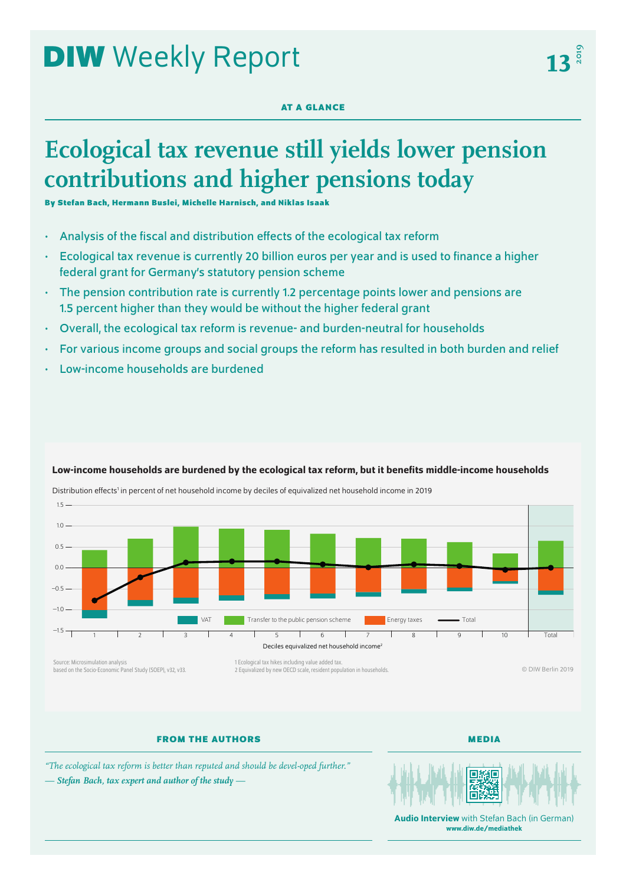# **DIW** Weekly Report

# **AT A GLANCE**

# **Ecological tax revenue still yields lower pension contributions and higher pensions today**

**By Stefan Bach, Hermann Buslei, Michelle Harnisch, and Niklas Isaak**

• Analysis of the fiscal and distribution effects of the ecological tax reform

Distribution effects<sup>1</sup> in percent of net household income by deciles of equivalized net household income in 2019

- Ecological tax revenue is currently 20 billion euros per year and is used to finance a higher federal grant for Germany's statutory pension scheme
- The pension contribution rate is currently 1.2 percentage points lower and pensions are 1.5 percent higher than they would be without the higher federal grant
- Overall, the ecological tax reform is revenue- and burden-neutral for households
- For various income groups and social groups the reform has resulted in both burden and relief
- Low-income households are burdened



# Low-income households are burdened by the ecological tax reform, but it benefits middle-income households

Source: Microsimulation analysis based on the Socio-Economic Panel Study (SOEP), v32, v33.

1 Ecological tax hikes including value added tax. 2 Equivalized by new OECD scale, resident population in households.

© DIW Berlin 2019

# **FROM THE AUTHORS**

**MEDIA**

*"The ecological tax reform is better than reputed and should be devel-oped further." — Stefan Bach, tax expert and author of the study —*



**Audio Interview** with Stefan Bach (in German) [www.diw.de/mediathek](http://www.diw.de/mediathek)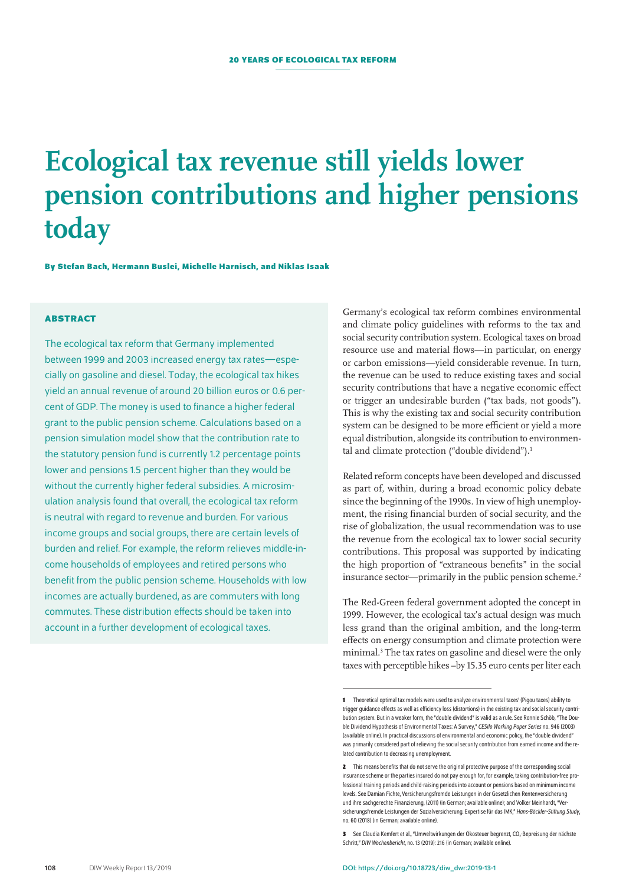# **Ecological tax revenue still yields lower pension contributions and higher pensions today**

**By Stefan Bach, Hermann Buslei, Michelle Harnisch, and Niklas Isaak**

# **ABSTRACT**

The ecological tax reform that Germany implemented between 1999 and 2003 increased energy tax rates—especially on gasoline and diesel. Today, the ecological tax hikes yield an annual revenue of around 20 billion euros or 0.6 percent of GDP. The money is used to finance a higher federal grant to the public pension scheme. Calculations based on a pension simulation model show that the contribution rate to the statutory pension fund is currently 1.2 percentage points lower and pensions 1.5 percent higher than they would be without the currently higher federal subsidies. A microsimulation analysis found that overall, the ecological tax reform is neutral with regard to revenue and burden. For various income groups and social groups, there are certain levels of burden and relief. For example, the reform relieves middle-income households of employees and retired persons who benefit from the public pension scheme. Households with low incomes are actually burdened, as are commuters with long commutes. These distribution effects should be taken into account in a further development of ecological taxes.

Germany's ecological tax reform combines environmental and climate policy guidelines with reforms to the tax and social security contribution system. Ecological taxes on broad resource use and material flows—in particular, on energy or carbon emissions—yield considerable revenue. In turn, the revenue can be used to reduce existing taxes and social security contributions that have a negative economic effect or trigger an undesirable burden ("tax bads, not goods"). This is why the existing tax and social security contribution system can be designed to be more efficient or yield a more equal distribution, alongside its contribution to environmental and climate protection ("double dividend").<sup>1</sup>

Related reform concepts have been developed and discussed as part of, within, during a broad economic policy debate since the beginning of the 1990s. In view of high unemployment, the rising financial burden of social security, and the rise of globalization, the usual recommendation was to use the revenue from the ecological tax to lower social security contributions. This proposal was supported by indicating the high proportion of "extraneous benefits" in the social insurance sector—primarily in the public pension scheme.<sup>2</sup>

The Red-Green federal government adopted the concept in 1999. However, the ecological tax's actual design was much less grand than the original ambition, and the long-term effects on energy consumption and climate protection were minimal.3 The tax rates on gasoline and diesel were the only taxes with perceptible hikes –by 15.35 euro cents per liter each

**<sup>1</sup>** Theoretical optimal tax models were used to analyze environmental taxes' (Pigou taxes) ability to trigger guidance effects as well as efficiency loss (distortions) in the existing tax and social security contribution system. But in a weaker form, the "double dividend" is valid as a rule. See Ronnie Schöb, "The Double Dividend Hypothesis of Environmental Taxes: A Survey," *CESifo Working Paper Series* no. 946 (2003) [\(available online](http://www.cesifo-group.de/DocDL/cesifo_wp946.pdf)). In practical discussions of environmental and economic policy, the "double dividend" was primarily considered part of relieving the social security contribution from earned income and the related contribution to decreasing unemployment.

**<sup>2</sup>** This means benefits that do not serve the original protective purpose of the corresponding social insurance scheme or the parties insured do not pay enough for, for example, taking contribution-free professional training periods and child-raising periods into account or pensions based on minimum income levels. See Damian Fichte, Versicherungsfremde Leistungen in der Gesetzlichen Rentenversicherung und ihre sachgerechte Finanzierung, (2011) (in German; [available online\)](https://www.steuerzahlerinstitut.de/files/20364/Schrift_107__Feb._2011__Fichte_-_Versicherungsfremde_Leistungen_in_der_GRV_und_ihre_sachgerechte_Finanzierung.pdf); and Volker Meinhardt, "Versicherungsfremde Leistungen der Sozialversicherung. Expertise für das IMK," *Hans-Böckler-Stiftung Study*, no. 60 (2018) (in German; [available online](https://www.boeckler.de/pdf/p_imk_study_60_2018.pdf)).

<sup>3</sup> See Claudia Kemfert et al., "Umweltwirkungen der Ökosteuer begrenzt, CO<sub>2</sub>-Bepreisung der nächste Schritt" *DIW Wochenbericht*, no. 13 (2019): 216 (in German; [available online\)](https://www.diw.de/documents/publikationen/73/diw_01.c.617674.de/19-13.pdf).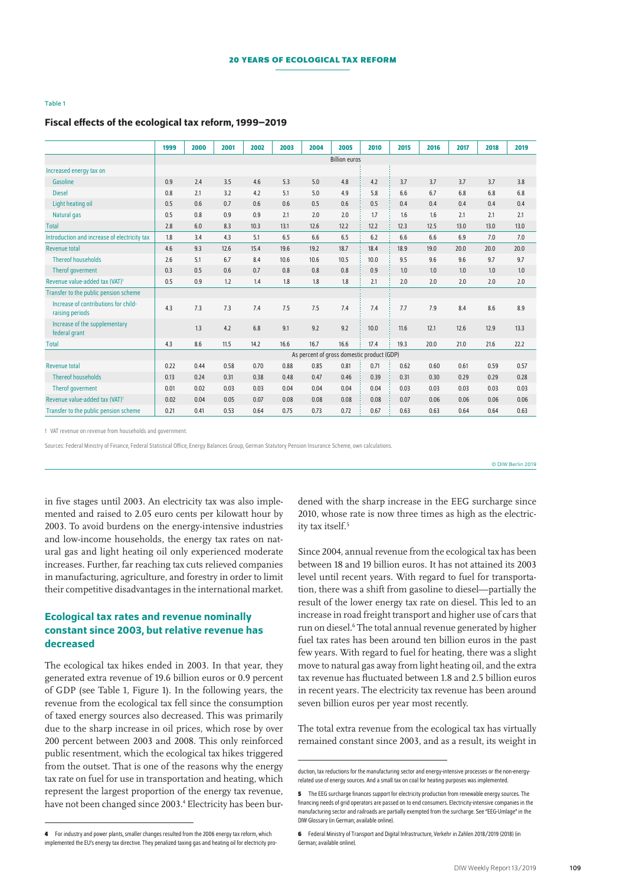#### Table 1

### Fiscal effects of the ecological tax reform, 1999–2019

|                                                         | 1999                                       | 2000 | 2001 | 2002 | 2003 | 2004 | 2005 | 2010 | 2015 | 2016 | 2017 | 2018 | 2019 |
|---------------------------------------------------------|--------------------------------------------|------|------|------|------|------|------|------|------|------|------|------|------|
|                                                         | <b>Billion euros</b>                       |      |      |      |      |      |      |      |      |      |      |      |      |
| Increased energy tax on                                 |                                            |      |      |      |      |      |      |      |      |      |      |      |      |
| Gasoline                                                | 0.9                                        | 2.4  | 3.5  | 4.6  | 5.3  | 5.0  | 4.8  | 4.2  | 3.7  | 3.7  | 3.7  | 3.7  | 3.8  |
| <b>Diesel</b>                                           | 0.8                                        | 2.1  | 3.2  | 4.2  | 5.1  | 5.0  | 4.9  | 5.8  | 6.6  | 6.7  | 6.8  | 6.8  | 6.8  |
| Light heating oil                                       | 0.5                                        | 0.6  | 0.7  | 0.6  | 0.6  | 0.5  | 0.6  | 0.5  | 0.4  | 0.4  | 0.4  | 0.4  | 0.4  |
| Natural gas                                             | 0.5                                        | 0.8  | 0.9  | 0.9  | 2.1  | 2.0  | 2.0  | 1.7  | 1.6  | 1.6  | 2.1  | 2.1  | 2.1  |
| <b>Total</b>                                            | 2.8                                        | 6.0  | 8.3  | 10.3 | 13.1 | 12.6 | 12.2 | 12.2 | 12.3 | 12.5 | 13.0 | 13.0 | 13.0 |
| Introduction and increase of electricity tax            | 1.8                                        | 3.4  | 4.3  | 5.1  | 6.5  | 6.6  | 6.5  | 6.2  | 6.6  | 6.6  | 6.9  | 7.0  | 7.0  |
| <b>Revenue total</b>                                    | 4.6                                        | 9.3  | 12.6 | 15.4 | 19.6 | 19.2 | 18.7 | 18.4 | 18.9 | 19.0 | 20.0 | 20.0 | 20.0 |
| <b>Thereof households</b>                               | 2.6                                        | 5.1  | 6.7  | 8.4  | 10.6 | 10.6 | 10.5 | 10.0 | 9.5  | 9.6  | 9.6  | 9.7  | 9.7  |
| Therof goverment                                        | 0.3                                        | 0.5  | 0.6  | 0.7  | 0.8  | 0.8  | 0.8  | 0.9  | 1.0  | 1.0  | 1.0  | 1.0  | 1.0  |
| Revenue value-added tax (VAT) <sup>1</sup>              | 0.5                                        | 0.9  | 1.2  | 1.4  | 1.8  | 1.8  | 1.8  | 2.1  | 2.0  | 2.0  | 2.0  | 2.0  | 2.0  |
| Transfer to the public pension scheme                   |                                            |      |      |      |      |      |      |      |      |      |      |      |      |
| Increase of contributions for child-<br>raising periods | 4.3                                        | 7.3  | 7.3  | 7.4  | 7.5  | 7.5  | 7.4  | 7.4  | 7.7  | 7.9  | 8.4  | 8.6  | 8.9  |
| Increase of the supplementary<br>federal grant          |                                            | 1.3  | 4.2  | 6.8  | 9.1  | 9.2  | 9.2  | 10.0 | 11.6 | 12.1 | 12.6 | 12.9 | 13.3 |
| <b>Total</b>                                            | 4.3                                        | 8.6  | 11.5 | 14.2 | 16.6 | 16.7 | 16.6 | 17.4 | 19.3 | 20.0 | 21.0 | 21.6 | 22.2 |
|                                                         | As percent of gross domestic product (GDP) |      |      |      |      |      |      |      |      |      |      |      |      |
| <b>Revenue total</b>                                    | 0.22                                       | 0.44 | 0.58 | 0.70 | 0.88 | 0.85 | 0.81 | 0.71 | 0.62 | 0.60 | 0.61 | 0.59 | 0.57 |
| <b>Thereof households</b>                               | 0.13                                       | 0.24 | 0.31 | 0.38 | 0.48 | 0.47 | 0.46 | 0.39 | 0.31 | 0.30 | 0.29 | 0.29 | 0.28 |
| Therof goverment                                        | 0.01                                       | 0.02 | 0.03 | 0.03 | 0.04 | 0.04 | 0.04 | 0.04 | 0.03 | 0.03 | 0.03 | 0.03 | 0.03 |
| Revenue value-added tax (VAT) <sup>1</sup>              | 0.02                                       | 0.04 | 0.05 | 0.07 | 0.08 | 0.08 | 0.08 | 0.08 | 0.07 | 0.06 | 0.06 | 0.06 | 0.06 |
| Transfer to the public pension scheme                   | 0.21                                       | 0.41 | 0.53 | 0.64 | 0.75 | 0.73 | 0.72 | 0.67 | 0.63 | 0.63 | 0.64 | 0.64 | 0.63 |

1 VAT revenue on revenue from households and government.

Sources: Federal Ministry of Finance, Federal Statistical Office, Energy Balances Group, German Statutory Pension Insurance Scheme, own calculations.

© DIW Berlin 2019

in five stages until 2003. An electricity tax was also implemented and raised to 2.05 euro cents per kilowatt hour by 2003. To avoid burdens on the energy-intensive industries and low-income households, the energy tax rates on natural gas and light heating oil only experienced moderate increases. Further, far reaching tax cuts relieved companies in manufacturing, agriculture, and forestry in order to limit their competitive disadvantages in the international market.

# Ecological tax rates and revenue nominally constant since 2003, but relative revenue has decreased

The ecological tax hikes ended in 2003. In that year, they generated extra revenue of 19.6 billion euros or 0.9 percent of GDP (see Table 1, Figure 1). In the following years, the revenue from the ecological tax fell since the consumption of taxed energy sources also decreased. This was primarily due to the sharp increase in oil prices, which rose by over 200 percent between 2003 and 2008. This only reinforced public resentment, which the ecological tax hikes triggered from the outset. That is one of the reasons why the energy tax rate on fuel for use in transportation and heating, which represent the largest proportion of the energy tax revenue, have not been changed since 2003.<sup>4</sup> Electricity has been burdened with the sharp increase in the EEG surcharge since 2010, whose rate is now three times as high as the electricity tax itself.<sup>5</sup>

Since 2004, annual revenue from the ecological tax has been between 18 and 19 billion euros. It has not attained its 2003 level until recent years. With regard to fuel for transportation, there was a shift from gasoline to diesel—partially the result of the lower energy tax rate on diesel. This led to an increase in road freight transport and higher use of cars that run on diesel.<sup>6</sup> The total annual revenue generated by higher fuel tax rates has been around ten billion euros in the past few years. With regard to fuel for heating, there was a slight move to natural gas away from light heating oil, and the extra tax revenue has fluctuated between 1.8 and 2.5 billion euros in recent years. The electricity tax revenue has been around seven billion euros per year most recently.

The total extra revenue from the ecological tax has virtually remained constant since 2003, and as a result, its weight in

duction, tax reductions for the manufacturing sector and energy-intensive processes or the non-energyrelated use of energy sources. And a small tax on coal for heating purposes was implemented.

**<sup>5</sup>** The EEG surcharge finances support for electricity production from renewable energy sources. The financing needs of grid operators are passed on to end consumers. Electricity-intensive companies in the manufacturing sector and railroads are partially exempted from the surcharge. See "EEG-Umlage" in the DIW Glossary (in German; [available online\)](https://www.diw.de/de/diw_01.c.411881.de/presse/diw_glossar/eeg_umlage.html).

**<sup>6</sup>** Federal Ministry of Transport and Digital Infrastructure, Verkehr in Zahlen 2018/2019 (2018) (in German; [available online](https://www.bmvi.de/SharedDocs/DE/Publikationen/G/verkehr-in-zahlen_2019-pdf.pdf?__blob=publicationFile)).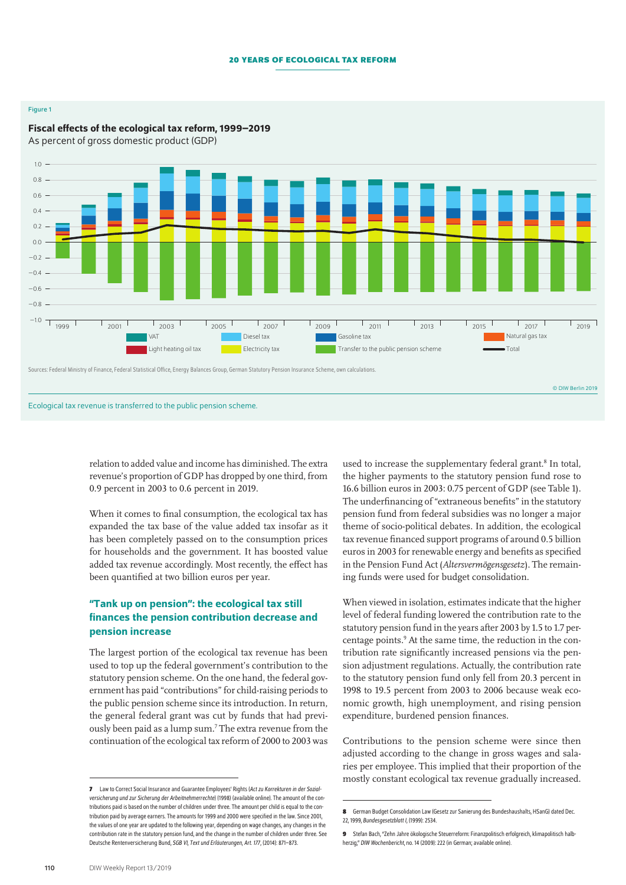#### **20 years of ecological tax reform**

#### Figure 1



# Fiscal effects of the ecological tax reform, 1999–2019

relation to added value and income has diminished. The extra revenue's proportion of GDP has dropped by one third, from 0.9 percent in 2003 to 0.6 percent in 2019.

When it comes to final consumption, the ecological tax has expanded the tax base of the value added tax insofar as it has been completely passed on to the consumption prices for households and the government. It has boosted value added tax revenue accordingly. Most recently, the effect has been quantified at two billion euros per year.

# "Tank up on pension": the ecological tax still finances the pension contribution decrease and pension increase

The largest portion of the ecological tax revenue has been used to top up the federal government's contribution to the statutory pension scheme. On the one hand, the federal government has paid "contributions" for child-raising periods to the public pension scheme since its introduction. In return, the general federal grant was cut by funds that had previously been paid as a lump sum.7 The extra revenue from the continuation of the ecological tax reform of 2000 to 2003 was

used to increase the supplementary federal grant.<sup>8</sup> In total, the higher payments to the statutory pension fund rose to 16.6 billion euros in 2003: 0.75 percent of GDP (see Table 1). The underfinancing of "extraneous benefits" in the statutory pension fund from federal subsidies was no longer a major theme of socio-political debates. In addition, the ecological tax revenue financed support programs of around 0.5 billion euros in 2003 for renewable energy and benefits as specified in the Pension Fund Act (*Altersvermögensgesetz*). The remaining funds were used for budget consolidation.

When viewed in isolation, estimates indicate that the higher level of federal funding lowered the contribution rate to the statutory pension fund in the years after 2003 by 1.5 to 1.7 percentage points.9 At the same time, the reduction in the contribution rate significantly increased pensions via the pension adjustment regulations. Actually, the contribution rate to the statutory pension fund only fell from 20.3 percent in 1998 to 19.5 percent from 2003 to 2006 because weak economic growth, high unemployment, and rising pension expenditure, burdened pension finances.

Contributions to the pension scheme were since then adjusted according to the change in gross wages and salaries per employee. This implied that their proportion of the mostly constant ecological tax revenue gradually increased.

**<sup>7</sup>** Law to Correct Social Insurance and Guarantee Employees' Rights (*Act zu Korrekturen in der Sozialversicherung und zur Sicherung der Arbeitnehmerrechte*) (1998) ([available online](http://www.sozialpolitik-aktuell.de/id-1998/articles/id-1998.947.html)). The amount of the contributions paid is based on the number of children under three. The amount per child is equal to the contribution paid by average earners. The amounts for 1999 and 2000 were specified in the law. Since 2001, the values of one year are updated to the following year, depending on wage changes, any changes in the contribution rate in the statutory pension fund, and the change in the number of children under three. See Deutsche Rentenversicherung Bund, *SGB VI, Text und Erläuterungen, Art. 177*, (2014): 871–873.

**<sup>8</sup>** German Budget Consolidation Law (Gesetz zur Sanierung des Bundeshaushalts, HSanG) dated Dec. 22, 1999, *Bundesgesetzblatt I*, (1999): 2534.

**<sup>9</sup>** Stefan Bach, "Zehn Jahre ökologische Steuerreform: Finanzpolitisch erfolgreich, klimapolitisch halbherzig," *DIW Wochenbericht*, no. 14 (2009): 222 (in German; [available online](https://www.diw.de/documents/publikationen/73/diw_01.c.96632.de/09-14-1.pdf)).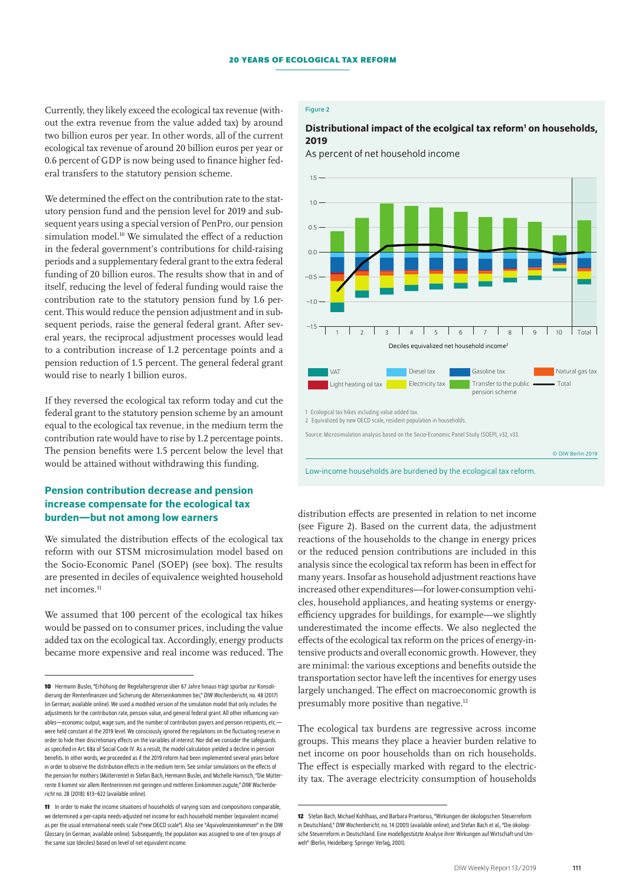Currently, they likely exceed the ecological tax revenue (without the extra revenue from the value added tax) by around two billion euros per year. In other words, all of the current ecological tax revenue of around 20 billion euros per year or 0.6 percent of GDP is now being used to finance higher federal transfers to the statutory pension scheme.

We determined the effect on the contribution rate to the statutory pension fund and the pension level for 2019 and subsequent years using a special version of PenPro, our pension simulation model.<sup>10</sup> We simulated the effect of a reduction in the federal government's contributions for child-raising periods and a supplementary federal grant to the extra federal funding of 20 billion euros. The results show that in and of itself, reducing the level of federal funding would raise the contribution rate to the statutory pension fund by 1.6 percent. This would reduce the pension adjustment and in subsequent periods, raise the general federal grant. After several years, the reciprocal adjustment processes would lead to a contribution increase of 1.2 percentage points and a pension reduction of 1.5 percent. The general federal grant would rise to nearly 1 billion euros.

If they reversed the ecological tax reform today and cut the federal grant to the statutory pension scheme by an amount equal to the ecological tax revenue, in the medium term the contribution rate would have to rise by 1.2 percentage points. The pension benefits were 1.5 percent below the level that would be attained without withdrawing this funding.

# Pension contribution decrease and pension increase compensate for the ecological tax burden—but not among low earners

We simulated the distribution effects of the ecological tax reform with our STSM microsimulation model based on the Socio-Economic Panel (SOEP) (see box). The results are presented in deciles of equivalence weighted household net incomes.<sup>11</sup>

We assumed that 100 percent of the ecological tax hikes would be passed on to consumer prices, including the value added tax on the ecological tax. Accordingly, energy products became more expensive and real income was reduced. The

## Figure 2

## Distributional impact of the ecolgical tax reform<sup>1</sup> on households, 2019

As percent of net household income



distribution effects are presented in relation to net income (see Figure 2). Based on the current data, the adjustment reactions of the households to the change in energy prices or the reduced pension contributions are included in this analysis since the ecological tax reform has been in effect for many years. Insofar as household adjustment reactions have increased other expenditures—for lower-consumption vehicles, household appliances, and heating systems or energyefficiency upgrades for buildings, for example—we slightly underestimated the income effects. We also neglected the effects of the ecological tax reform on the prices of energy-intensive products and overall economic growth. However, they are minimal: the various exceptions and benefits outside the transportation sector have left the incentives for energy uses largely unchanged. The effect on macroeconomic growth is presumably more positive than negative.12

The ecological tax burdens are regressive across income groups. This means they place a heavier burden relative to net income on poor households than on rich households. The effect is especially marked with regard to the electricity tax. The average electricity consumption of households

**<sup>10</sup>** Hermann Buslei, "Erhöhung der Regelaltersgrenze über 67 Jahre hinaus trägt spürbar zur Konsolidierung der Rentenfinanzen und Sicherung der Alterseinkommen bei," *DIW Wochenbericht*, no. 48 (2017) (in German; [available online](https://www.diw.de/documents/publikationen/73/diw_01.c.571863.de/17-48-3.pdf)). We used a modified version of the simulation model that only includes the adjustments for the contribution rate, pension value, and general federal grant. All other influencing variables—economic output, wage sum, and the number of contribution payers and pension recipients, etc. were held constant at the 2019 level. We consciously ignored the regulations on the fluctuating reserve in order to hide their discretionary effects on the variables of interest. Nor did we consider the safeguards as specified in Art. 68a of Social Code IV. As a result, the model calculation yielded a decline in pension benefits. In other words, we proceeded as if the 2019 reform had been implemented several years before in order to observe the distribution effects in the medium term. See similar simulations on the effects of the pension for mothers (*Mütterrente*) in Stefan Bach, Hermann Buslei, and Michelle Harnisch, "Die Mütterrente II kommt vor allem Rentnerinnen mit geringen und mittleren Einkommen zugute," *DIW Wochenbericht* no.28 (2018): 613–622 ([available online\)](https://www.diw.de/documents/publikationen/73/diw_01.c.594068.de/18-28-1.pdf).

**<sup>11</sup>** In order to make the income situations of households of varying sizes and compositions comparable, we determined a per-capita needs-adjusted net income for each household member (equivalent income) as per the usual international needs scale ("new OECD scale"). Also see "*Äquivalenzeinkommen*" in the DIW Glossary (in German; [available online\)](http://www.diw.de/de/diw_01.c.411605.de/). Subsequently, the population was assigned to one of ten groups of the same size (deciles) based on level of net equivalent income

**<sup>12</sup>** Stefan Bach, Michael Kohlhaas, and Barbara Praetorius, "Wirkungen der ökologischen Steuerreform in Deutschland," *DIW Wochenbericht*, no. 14 (2001) ([available online](https://www.diw.de/sixcms/detail.php?id=286182)); and Stefan Bach etal., "Die ökologische Steuerreform in Deutschland. Eine modellgestützte Analyse ihrer Wirkungen auf Wirtschaft und Umwelt" (Berlin, Heidelberg: Springer Verlag, 2001).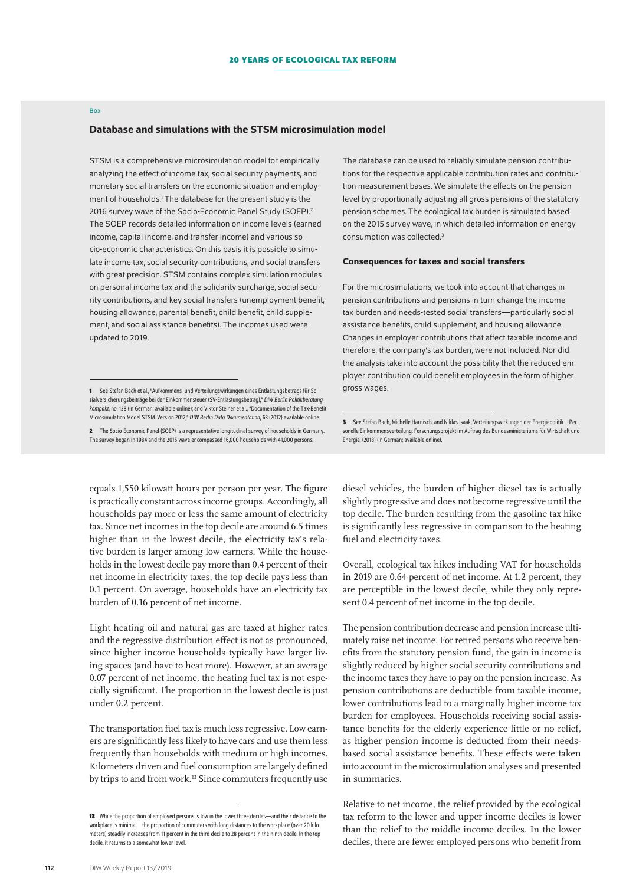#### Box

#### Database and simulations with the STSM microsimulation model

STSM is a comprehensive microsimulation model for empirically analyzing the effect of income tax, social security payments, and monetary social transfers on the economic situation and employment of households.<sup>1</sup> The database for the present study is the 2016 survey wave of the Socio-Economic Panel Study (SOEP).<sup>2</sup> The SOEP records detailed information on income levels (earned income, capital income, and transfer income) and various socio-economic characteristics. On this basis it is possible to simulate income tax, social security contributions, and social transfers with great precision. STSM contains complex simulation modules on personal income tax and the solidarity surcharge, social security contributions, and key social transfers (unemployment benefit, housing allowance, parental benefit, child benefit, child supplement, and social assistance benefits). The incomes used were updated to 2019.

**2** The [Socio-Economic Panel \(SOEP\)](https://www.diw.de/en/diw_02.c.299771.en/about_soep.html) is a representative longitudinal survey of households in Germany. The survey began in 1984 and the 2015 wave encompassed 16,000 households with 41,000 persons.

The database can be used to reliably simulate pension contributions for the respective applicable contribution rates and contribution measurement bases. We simulate the effects on the pension level by proportionally adjusting all gross pensions of the statutory pension schemes. The ecological tax burden is simulated based on the 2015 survey wave, in which detailed information on energy consumption was collected.3

#### Consequences for taxes and social transfers

For the microsimulations, we took into account that changes in pension contributions and pensions in turn change the income tax burden and needs-tested social transfers—particularly social assistance benefits, child supplement, and housing allowance. Changes in employer contributions that affect taxable income and therefore, the company's tax burden, were not included. Nor did the analysis take into account the possibility that the reduced employer contribution could benefit employees in the form of higher gross wages.

equals 1,550 kilowatt hours per person per year. The figure is practically constant across income groups. Accordingly, all households pay more or less the same amount of electricity tax. Since net incomes in the top decile are around 6.5 times higher than in the lowest decile, the electricity tax's relative burden is larger among low earners. While the households in the lowest decile pay more than 0.4 percent of their net income in electricity taxes, the top decile pays less than 0.1 percent. On average, households have an electricity tax burden of 0.16 percent of net income.

Light heating oil and natural gas are taxed at higher rates and the regressive distribution effect is not as pronounced, since higher income households typically have larger living spaces (and have to heat more). However, at an average 0.07 percent of net income, the heating fuel tax is not especially significant. The proportion in the lowest decile is just under 0.2 percent.

The transportation fuel tax is much less regressive. Low earners are significantly less likely to have cars and use them less frequently than households with medium or high incomes. Kilometers driven and fuel consumption are largely defined by trips to and from work.13 Since commuters frequently use diesel vehicles, the burden of higher diesel tax is actually slightly progressive and does not become regressive until the top decile. The burden resulting from the gasoline tax hike is significantly less regressive in comparison to the heating fuel and electricity taxes.

Overall, ecological tax hikes including VAT for households in 2019 are 0.64 percent of net income. At 1.2 percent, they are perceptible in the lowest decile, while they only represent 0.4 percent of net income in the top decile.

The pension contribution decrease and pension increase ultimately raise net income. For retired persons who receive benefits from the statutory pension fund, the gain in income is slightly reduced by higher social security contributions and the income taxes they have to pay on the pension increase. As pension contributions are deductible from taxable income, lower contributions lead to a marginally higher income tax burden for employees. Households receiving social assistance benefits for the elderly experience little or no relief, as higher pension income is deducted from their needsbased social assistance benefits. These effects were taken into account in the microsimulation analyses and presented in summaries.

Relative to net income, the relief provided by the ecological tax reform to the lower and upper income deciles is lower than the relief to the middle income deciles. In the lower deciles, there are fewer employed persons who benefit from

<sup>1</sup> See Stefan Bach et al., "Aufkommens- und Verteilungswirkungen eines Entlastungsbetrags für Sozialversicherungsbeiträge bei der Einkommensteuer (SV-Entlastungsbetrag)," *DIW Berlin Politikberatung kompakt*, no. 128 (in German; [available online](http://www.diw.de/documents/publikationen/73/diw_01.c.581261.de/diwkompakt_2018-128.pdf)); and Viktor Steiner etal., "Documentation of the Tax-Benefit Microsimulation Model STSM. Version 2012," *DIW Berlin Data Documentation*, 63 (2012) [available online.](https://www.diw.de/documents/publikationen/73/diw_01.c.394794.de/diw_datadoc_2012-063.pdf)

**<sup>3</sup>** See Stefan Bach, Michelle Harnisch, and Niklas Isaak, Verteilungswirkungen der Energiepolitik – Personelle Einkommensverteilung. Forschungsprojekt im Auftrag des Bundesministeriums für Wirtschaft und Energie, (2018) (in German; [available online](https://www.bmwi.de/Redaktion/DE/Publikationen/Studien/verteilungswirkungen-der-energiepolitiken.pdf?__blob=publicationFile&v=8)).

**<sup>13</sup>** While the proportion of employed persons is low in the lower three deciles—and their distance to the workplace is minimal—the proportion of commuters with long distances to the workplace (over 20 kilometers) steadily increases from 11 percent in the third decile to 28 percent in the ninth decile. In the top decile, it returns to a somewhat lower level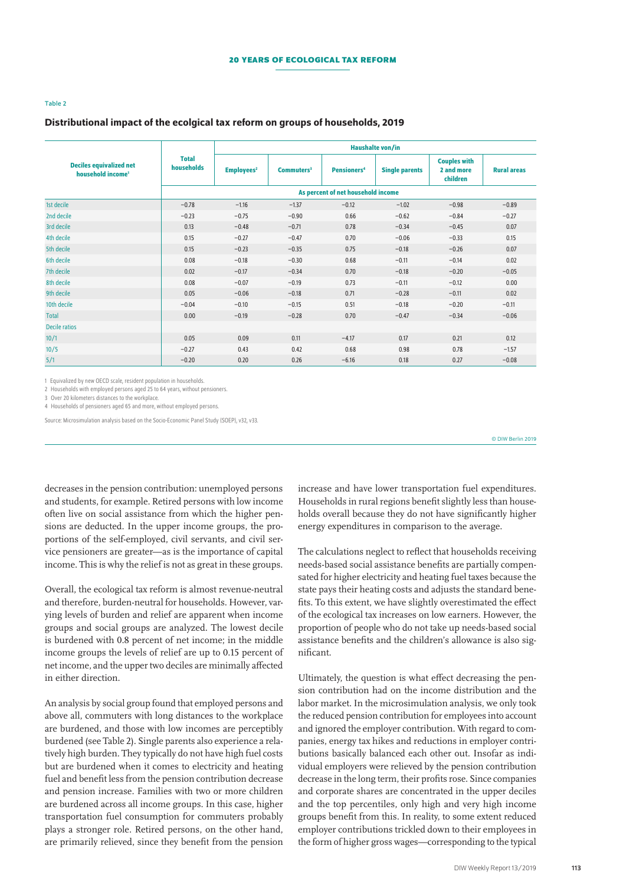#### Table 2

#### Distributional impact of the ecolgical tax reform on groups of households, 2019

| <b>Deciles equivalized net</b><br>household income <sup>1</sup> |                                    | Haushalte von/in       |              |                               |                       |                                               |                    |  |  |  |  |
|-----------------------------------------------------------------|------------------------------------|------------------------|--------------|-------------------------------|-----------------------|-----------------------------------------------|--------------------|--|--|--|--|
|                                                                 | <b>Total</b><br>households         | Employees <sup>2</sup> | $Commuters3$ | <b>Pensioners<sup>4</sup></b> | <b>Single parents</b> | <b>Couples with</b><br>2 and more<br>children | <b>Rural areas</b> |  |  |  |  |
|                                                                 | As percent of net household income |                        |              |                               |                       |                                               |                    |  |  |  |  |
| 1st decile                                                      | $-0.78$                            | $-1.16$                | $-1.37$      | $-0.12$                       | $-1.02$               | $-0.98$                                       | $-0.89$            |  |  |  |  |
| 2nd decile                                                      | $-0.23$                            | $-0.75$                | $-0.90$      | 0.66                          | $-0.62$               | $-0.84$                                       | $-0.27$            |  |  |  |  |
| 3rd decile                                                      | 0.13                               | $-0.48$                | $-0.71$      | 0.78                          | $-0.34$               | $-0.45$                                       | 0.07               |  |  |  |  |
| 4th decile                                                      | 0.15                               | $-0.27$                | $-0.47$      | 0.70                          | $-0.06$               | $-0.33$                                       | 0.15               |  |  |  |  |
| 5th decile                                                      | 0.15                               | $-0.23$                | $-0.35$      | 0.75                          | $-0.18$               | $-0.26$                                       | 0.07               |  |  |  |  |
| 6th decile                                                      | 0.08                               | $-0.18$                | $-0.30$      | 0.68                          | $-0.11$               | $-0.14$                                       | 0.02               |  |  |  |  |
| 7th decile                                                      | 0.02                               | $-0.17$                | $-0.34$      | 0.70                          | $-0.18$               | $-0.20$                                       | $-0.05$            |  |  |  |  |
| 8th decile                                                      | 0.08                               | $-0.07$                | $-0.19$      | 0.73                          | $-0.11$               | $-0.12$                                       | 0.00               |  |  |  |  |
| 9th decile                                                      | 0.05                               | $-0.06$                | $-0.18$      | 0.71                          | $-0.28$               | $-0.11$                                       | 0.02               |  |  |  |  |
| 10th decile                                                     | $-0.04$                            | $-0.10$                | $-0.15$      | 0.51                          | $-0.18$               | $-0.20$                                       | $-0.11$            |  |  |  |  |
| <b>Total</b>                                                    | 0.00                               | $-0.19$                | $-0.28$      | 0.70                          | $-0.47$               | $-0.34$                                       | $-0.06$            |  |  |  |  |
| <b>Decile ratios</b>                                            |                                    |                        |              |                               |                       |                                               |                    |  |  |  |  |
| 10/1                                                            | 0.05                               | 0.09                   | 0.11         | $-4.17$                       | 0.17                  | 0.21                                          | 0.12               |  |  |  |  |
| 10/5                                                            | $-0.27$                            | 0.43                   | 0.42         | 0.68                          | 0.98                  | 0.78                                          | $-1.57$            |  |  |  |  |
| 5/1                                                             | $-0.20$                            | 0.20                   | 0.26         | $-6.16$                       | 0.18                  | 0.27                                          | $-0.08$            |  |  |  |  |

1 Equivalized by new OECD scale, resident population in households.

2 Households with employed persons aged 25 to 64 years, without pensioners.

3 Over 20 kilometers distances to the workplace.

4 Households of pensioners aged 65 and more, without employed persons.

Source: Microsimulation analysis based on the Socio-Economic Panel Study (SOEP), v32, v33.

© DIW Berlin 2019

decreases in the pension contribution: unemployed persons and students, for example. Retired persons with low income often live on social assistance from which the higher pensions are deducted. In the upper income groups, the proportions of the self-employed, civil servants, and civil service pensioners are greater—as is the importance of capital income. This is why the relief is not as great in these groups.

Overall, the ecological tax reform is almost revenue-neutral and therefore, burden-neutral for households. However, varying levels of burden and relief are apparent when income groups and social groups are analyzed. The lowest decile is burdened with 0.8 percent of net income; in the middle income groups the levels of relief are up to 0.15 percent of net income, and the upper two deciles are minimally affected in either direction.

An analysis by social group found that employed persons and above all, commuters with long distances to the workplace are burdened, and those with low incomes are perceptibly burdened (see Table 2). Single parents also experience a relatively high burden. They typically do not have high fuel costs but are burdened when it comes to electricity and heating fuel and benefit less from the pension contribution decrease and pension increase. Families with two or more children are burdened across all income groups. In this case, higher transportation fuel consumption for commuters probably plays a stronger role. Retired persons, on the other hand, are primarily relieved, since they benefit from the pension increase and have lower transportation fuel expenditures. Households in rural regions benefit slightly less than households overall because they do not have significantly higher energy expenditures in comparison to the average.

The calculations neglect to reflect that households receiving needs-based social assistance benefits are partially compensated for higher electricity and heating fuel taxes because the state pays their heating costs and adjusts the standard benefits. To this extent, we have slightly overestimated the effect of the ecological tax increases on low earners. However, the proportion of people who do not take up needs-based social assistance benefits and the children's allowance is also significant.

Ultimately, the question is what effect decreasing the pension contribution had on the income distribution and the labor market. In the microsimulation analysis, we only took the reduced pension contribution for employees into account and ignored the employer contribution. With regard to companies, energy tax hikes and reductions in employer contributions basically balanced each other out. Insofar as individual employers were relieved by the pension contribution decrease in the long term, their profits rose. Since companies and corporate shares are concentrated in the upper deciles and the top percentiles, only high and very high income groups benefit from this. In reality, to some extent reduced employer contributions trickled down to their employees in the form of higher gross wages—corresponding to the typical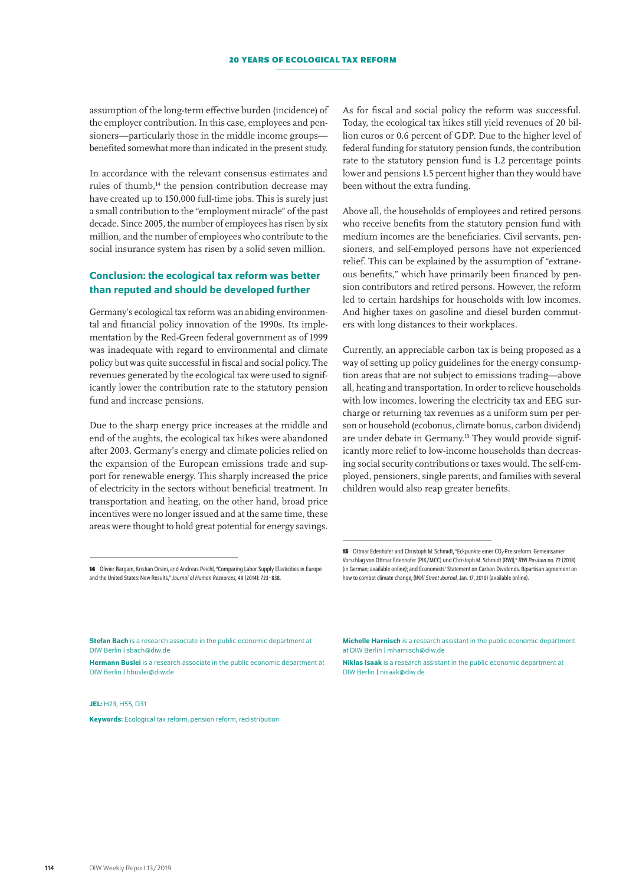assumption of the long-term effective burden (incidence) of the employer contribution. In this case, employees and pensioners—particularly those in the middle income groups benefited somewhat more than indicated in the present study.

In accordance with the relevant consensus estimates and rules of thumb,<sup>14</sup> the pension contribution decrease may have created up to 150,000 full-time jobs. This is surely just a small contribution to the "employment miracle" of the past decade. Since 2005, the number of employees has risen by six million, and the number of employees who contribute to the social insurance system has risen by a solid seven million.

## Conclusion: the ecological tax reform was better than reputed and should be developed further

Germany's ecological tax reform was an abiding environmental and financial policy innovation of the 1990s. Its implementation by the Red-Green federal government as of 1999 was inadequate with regard to environmental and climate policy but was quite successful in fiscal and social policy. The revenues generated by the ecological tax were used to significantly lower the contribution rate to the statutory pension fund and increase pensions.

Due to the sharp energy price increases at the middle and end of the aughts, the ecological tax hikes were abandoned after 2003. Germany's energy and climate policies relied on the expansion of the European emissions trade and support for renewable energy. This sharply increased the price of electricity in the sectors without beneficial treatment. In transportation and heating, on the other hand, broad price incentives were no longer issued and at the same time, these areas were thought to hold great potential for energy savings. As for fiscal and social policy the reform was successful. Today, the ecological tax hikes still yield revenues of 20 billion euros or 0.6 percent of GDP. Due to the higher level of federal funding for statutory pension funds, the contribution rate to the statutory pension fund is 1.2 percentage points lower and pensions 1.5 percent higher than they would have been without the extra funding.

Above all, the households of employees and retired persons who receive benefits from the statutory pension fund with medium incomes are the beneficiaries. Civil servants, pensioners, and self-employed persons have not experienced relief. This can be explained by the assumption of "extraneous benefits," which have primarily been financed by pension contributors and retired persons. However, the reform led to certain hardships for households with low incomes. And higher taxes on gasoline and diesel burden commuters with long distances to their workplaces.

Currently, an appreciable carbon tax is being proposed as a way of setting up policy guidelines for the energy consumption areas that are not subject to emissions trading—above all, heating and transportation. In order to relieve households with low incomes, lowering the electricity tax and EEG surcharge or returning tax revenues as a uniform sum per person or household (ecobonus, climate bonus, carbon dividend) are under debate in Germany.<sup>15</sup> They would provide significantly more relief to low-income households than decreasing social security contributions or taxes would. The self-employed, pensioners, single parents, and families with several children would also reap greater benefits.

Hermann Buslei is a research associate in the public economic department at DIW Berlin | hbuslei@diw.de

 $IFL$ : H23, H55, D31

DIW Berlin | [sbach@diw.de](mailto:sbach%40diw.de?subject=)

Keywords: Ecological tax reform, pension reform, redistribution

Michelle Harnisch is a research assistant in the public economic department

**15** Ottmar Edenhofer and Christoph M. Schmidt, "Eckpunkte einer CO<sub>2</sub>-Preisreform. Gemeinsamer Vorschlag von Ottmar Edenhofer (PIK/MCC) und Christoph M. Schmidt (RWI)," *RWI Position* no.72 (2018) (in German; [available online\)](http://www.rwi-essen.de/media/content/pages/publikationen/rwi-positionen/pos_072_eckpunkte_einer_co2-preisreform.pdf); and Economists' Statement on Carbon Dividends. Bipartisan agreement on

how to combat climate change, (*Wall Street Journal*, Jan. 17, 2019) [\(available online\)](https://www.clcouncil.org/media/EconomistsStatement.pdf).

at DIW Berlin | [mharnisch@diw.de](mailto:mharnisch%40diw.de?subject=)

Niklas Isaak is a research assistant in the public economic department at DIW Berlin | [nisaak@diw.de](mailto:nisaak%40diw.de?subject=)

**<sup>14</sup>** Olivier Bargain, Kristian Orsini, and Andreas Peichl, "Comparing Labor Supply Elasticities in Europe and the United States: New Results," *Journal of Human Resources*, 49 (2014): 723–838.

Stefan Bach is a research associate in the public economic department at